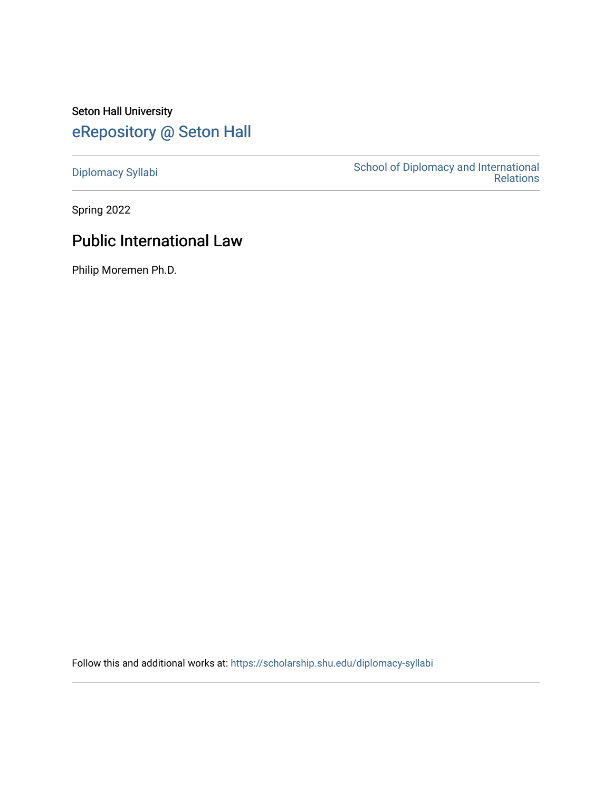# Seton Hall University [eRepository @ Seton Hall](https://scholarship.shu.edu/)

[Diplomacy Syllabi](https://scholarship.shu.edu/diplomacy-syllabi) [School of Diplomacy and International](https://scholarship.shu.edu/diplomacy)  [Relations](https://scholarship.shu.edu/diplomacy) 

Spring 2022

# Public International Law

Philip Moremen Ph.D.

Follow this and additional works at: [https://scholarship.shu.edu/diplomacy-syllabi](https://scholarship.shu.edu/diplomacy-syllabi?utm_source=scholarship.shu.edu%2Fdiplomacy-syllabi%2F653&utm_medium=PDF&utm_campaign=PDFCoverPages)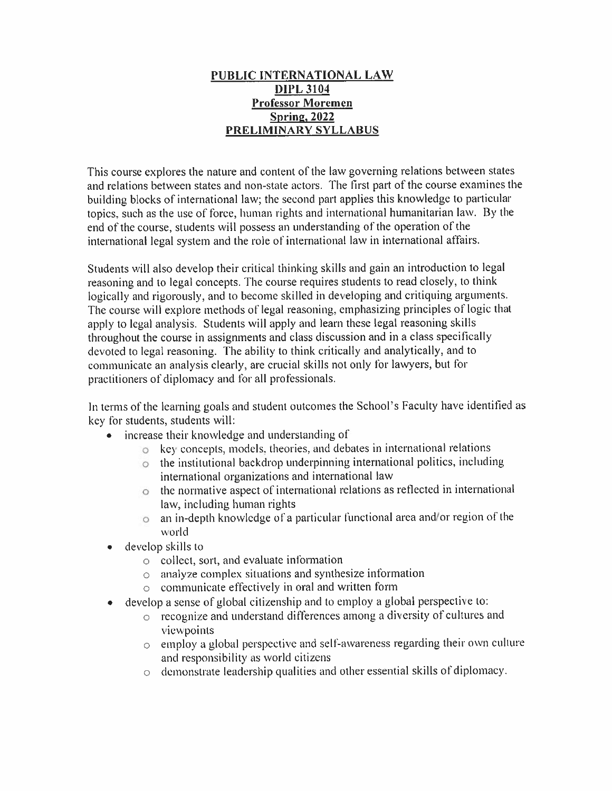#### **PUBLIC INTERNATIONAL LAW DIPL 3104 Professor Moremen Spring, 2022 PRELIMINARY SYLLABUS**

This course explores the nature and content of the law governing relations between states and relations between states and non-state actors. The first par<sup>t</sup> of the course examines the building blocks of international law; the second par<sup>t</sup> applies this knowledge to particular topics, such as the use of force, human rights and international humanitarian law. By the end of the course, students will possess an understanding of the operation of the international legal system and the role of international law in international affairs.

Students will also develop their critical thinking skills and gain an introduction to legal reasoning and to legal concepts. The course requires students to read closely, to think logically and rigorously, and to become skilled in developing and critiquing arguments. The course will explore methods of legal reasoning, emphasizing principles of logic that apply to legal analysis. Students will apply and learn these legal reasoning skills throughout the course in assignments and class discussion and in <sup>a</sup> class specifically devoted to legal reasoning. The ability to think critically and analytically, and to communicate an analysis clearly, are crucial skills not only for lawyers, but for practitioners of diplomacy and for all professionals.

In terms of the learning goals and student outcomes the School's Faculty have identified as key for students, students will:

- increase their knowledge and understanding of
	- <sup>o</sup> key concepts, models, theories, and debates in international relations
	- <sup>o</sup> the institutional backdrop underpinning international politics, including international organizations and international law
	- <sup>o</sup> the normative aspec<sup>t</sup> of international relations as reflected in international law, including human rights
	- <sup>o</sup> an in-depth knowledge of <sup>a</sup> particular functional area and/or region of the world
- • develop skills to
	- <sup>o</sup> collect, sort, and evaluate information
	- <sup>o</sup> analyze complex situations and synthesize information
	- <sup>o</sup> communicate effectively in oral and written form
- • develop <sup>a</sup> sense of global citizenship and to employ <sup>a</sup> global perspective to:
	- <sup>o</sup> recognize and understand differences among <sup>a</sup> diversity of cultures and viewpoints
	- <sup>o</sup> employ <sup>a</sup> <sup>g</sup>lobal perspective and self-awareness regarding their own culture and responsibility as world citizens
	- <sup>o</sup> demonstrate leadership qualities and other essential skills of diplomacy.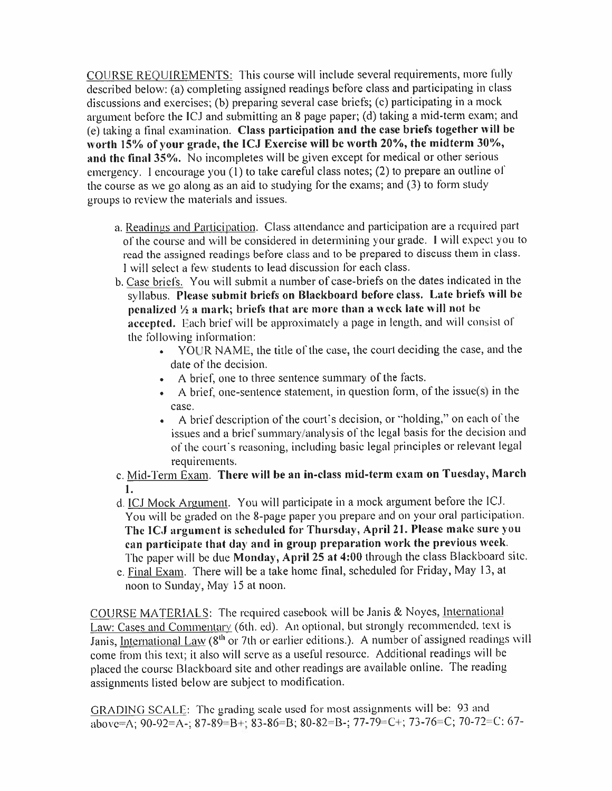COURSE REQUIREMENTS: This course will include several requirements, more fully described below: (a) completing assigned readings before class and participating in class discussions and exercises; (b) preparing several case briefs; (c) participating in <sup>a</sup> mock argumen<sup>t</sup> before the ICJ and submitting an <sup>8</sup> page paper; (d) taking <sup>a</sup> mid-term exam; and (e) taking <sup>a</sup> final examination. **Class participation and the case briefs together will be** worth 15% of your grade, the ICJ Exercise will be worth 20%, the midterm 30%, **and the final 35%.** No incompletes will be <sup>g</sup>iven excep<sup>t</sup> for medical or other serious emergency. <sup>1</sup> encourage you (1) to take careful class notes; (2) to prepare an outline of the course as we go along as an aid to studying for the exams; and **(3)** to form study groups to review the materials and issues.

- a. Readings and Participation. Class attendance and participation are a required part of the course and will be considered in determining your grade. I will expect you to read the assigned readings before class and to be prepare<sup>d</sup> to discuss them in class. I will select <sup>a</sup> few students to lead discussion for each class.
- b. Case briefs. You will submit <sup>a</sup> number of case-briefs on the dates indicated in the syllabus. **Please submit briefs on Blackboard before class. Late briefs will be penalized** *'A* **<sup>a</sup> mark; briefs that arc more than <sup>a</sup> week late will not be accepted.** Each brief will be approximately <sup>a</sup> page in length, and will consist of the following information:
	- YOUR NAME, the title of the case, the court deciding the case, and the date of the decision.
	- A brief, one to three sentence summary of the facts.
	- <sup>A</sup> brief, one-sentence statement, in question form, of the issue(s) in the case.
	- <sup>A</sup> brief description of the court'<sup>s</sup> decision, or "holding," on each of the issues and <sup>a</sup> brief summary/analysis of the legal basis for the decision and of the court'<sup>s</sup> reasoning, including basic legal principles or relevant legal requirements.
- <sup>c</sup>. Mid-Term Exam. **There will be an in-class mid-term exam on Tuesday, March 1**.
- d. ICJ Mock Argument. You will participate in a mock argument before the ICJ. You will be graded on the <sup>8</sup>-page paper you prepare and on your oral participation. **The ICJ argumen<sup>t</sup> is scheduled for Thursday, April <sup>21</sup> . Please make sure you can participate that day and in group preparation <sup>w</sup>'ork the previous week.** The paper will be due **Monday, April <sup>25</sup> at <sup>4</sup>:00** through the class Blackboard site.
- e. Final Exam. There will be a take home final, scheduled for Friday, May 13, at noon to Sunday, May 15 at noon.

COURSE MATERIALS: The required casebook will be Janis & Noyes, International Law: Cases and Commentary (6th. ed). An optional, but strongly recommended, text is Janis, International Law  $(8^{th}$  or 7th or earlier editions.). A number of assigned readings will come from this text; it also will serve as <sup>a</sup> useful resource. Additional readings will be <sup>p</sup>laced the course Blackboard site and other readings are available online. The reading assignments listed below are subject to modification.

GRADING SCALE: The grading scale used for most assignments will be: <sup>93</sup> and above=A; 90-92=A-; 87-89=B+; 83-86=B; 80-82=B-; 77-79=C+; 73-76=C; 70-72=C: 67-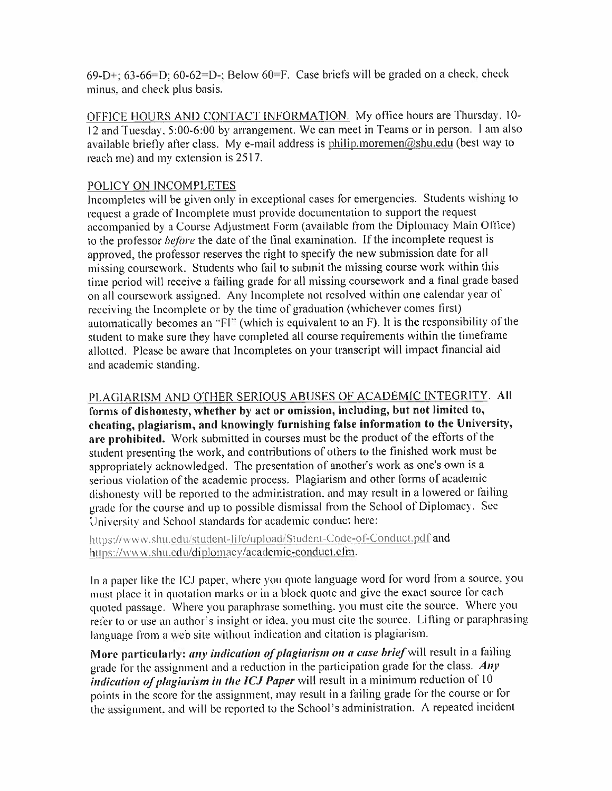69-D+; 63-66=D; 60-62=D-; Below 60=F. Case briefs will be graded on a check, check minus, and check plus basis.

OFFICE HOURS AND CONTACT INFORMATION. My office hours are Thursday, 10- <sup>12</sup> and Tuesday. <sup>5</sup>:00-6:<sup>00</sup> by arrangement. We can meet in Teams or in person. <sup>I</sup> am also available briefly after class. My e-mail address is <u>philip.moremen@shu.edu</u> (best way to reach me) and my extension is 2517.

#### POLICY ON 1NCOMPLETES

Incompletes will be <sup>g</sup>iven only in exceptional cases for emergencies. Students wishing to request <sup>a</sup> grade of Incomplete must provide documentation to suppor<sup>t</sup> the reques<sup>t</sup> accompanied by <sup>a</sup> Course Adjustment Form (available from the Diplomacy Main Office) to the professor *before* the date of the final examination. If the incomplete reques<sup>t</sup> is approved, the professor reserves the right to specify the new submission date for all missing coursework. Students who fail to submit the missing course work within this time period will receive <sup>a</sup> failing grade for all missing coursework and <sup>a</sup> final grade based on all coursework assigned. Any Incomplete not resolved within one calendar year of receiving the Incomplete or by the time of graduation (whichever comes first) automatically becomes an "FI " (which is equivalent to an F). It is the responsibility of the student to make sure they have completed all course requirements within the timeframe allotted. Please be aware that Incompletes on your transcript will impact financial aid and academic standing.

PLAGIARISM AND OTHER SERIOUS ABUSES OF ACADEMIC INTEGRITY. All **forms of dishonesty, whether by act or omission, including, but not limited to, cheating, <sup>p</sup>lagiarism, and knowingly furnishing false information to the University, arc prohibited.** Work submitted in courses must be the product of the efforts of the student presenting the work, and contributions of others to the finished work must be appropriately acknowledged. The presentation of another'<sup>s</sup> work as one'<sup>s</sup> own is a serious violation of the academic process. Plagiarism and other forms of academic dishonesty will be reported to the administration, and may result in <sup>a</sup> lowered or failing grade for the course and up to possible dismissal from the School of Diplomacy. Sec University and School standards for academic conduct here:

https://www.shti.edu/student-life/upload/Studcnt-Code-of-Conduct.pdf and https://www.shu.edu/diplomacv/academic-conduct.cfm.

In <sup>a</sup> paper like the ICJ paper, where you quote language word for word from a source, you must place it in quotation marks or in <sup>a</sup> block quote and <sup>g</sup>ive the exact source for each quoted passage. Where you paraphrase something, you must cite the source. Where you refer to or use an author's insight or idea, you must cite the source. Lifting or paraphrasing language from <sup>a</sup> web site without indication and citation is plagiarism.

More particularly: *any indication of <sup>p</sup>lagiarism on <sup>a</sup> case brief* will result in <sup>a</sup> failing grade for the assignment and <sup>a</sup> reduction in the participation grade for the class. *Any indication of <sup>p</sup>lagiarism in the ICJ Paper* will result in <sup>a</sup> minimum reduction of 10 points in the score for the assignment, may result in <sup>a</sup> failing grade for the course or for the assignment, and will be reported to the School'<sup>s</sup> administration. <sup>A</sup> repeated incident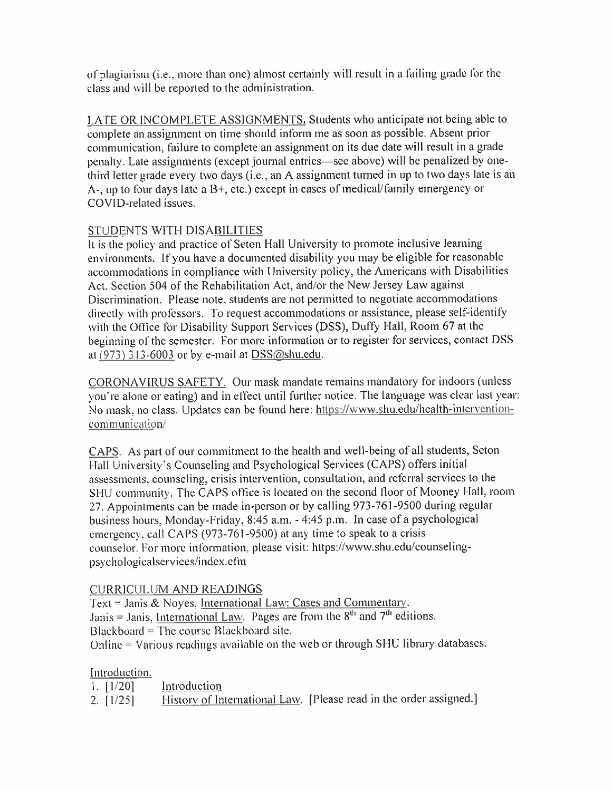of <sup>p</sup>lagiarism (i.e., more than one) almost certainly will result in <sup>a</sup> failing grade for the class and will be reported to the administration.

LATE OR INCOMPLETE ASSIGNMENTS. Students who anticipate not being able to complete an assignment on time should inform me as soon as possible. Absent prior communication, failure to complete an assignment on its due date will result in <sup>a</sup> grade penalty. Late assignments (excep<sup>t</sup> journal entries—see above) will be penalized by onethird letter grade every two days (i.e., an <sup>A</sup> assignment turned in up to two days late is an A-, up to four days late a  $B<sup>+</sup>$ , etc.) except in cases of medical/family emergency or COVID-related issues.

## STUDENTS WITH DISABILITIES

It is the policy and practice of Seton Hall University to promote inclusive learning environments. If you have <sup>a</sup> documented disability you may be eligible for reasonable accommodations in compliance with University policy, the Americans with Disabilities Act. Section 504 of the Rehabilitation Act, and/or the New Jersey Law against Discrimination. Please note, students are not permitted to negotiate accommodations directly with professors. To reques<sup>t</sup> accommodations or assistance, <sup>p</sup>lease self-identify with the Office for Disability Support Services (DSS), Duffy Hall, Room <sup>67</sup> at the beginning of the semester. For more information or to register for services, contact DSS at  $(973)$  313-6003 or by e-mail at DSS@shu.edu.

CQRONAV1RUS SAFETY. Our mask mandate remains mandatory for indoors (unless you ' re alone or eating) and in effect until further notice. The language was clear last year: No mask, no class. Updates can be found here: https://www.shu.edu/health-interventioncommunication/

CAPS. As par<sup>t</sup> of our commitment to the health and well-being of all students, Seton Hall University'<sup>s</sup> Counseling and Psychological Services (CAPS) offers initial assessments, counseling, crisis intervention, consultation, and referral services to the SHU community. The CAPS office is located on the second floor of Mooney Hall, room <sup>27</sup>. Appointments can be made in-person or by calling <sup>973</sup>-761-9500 during regular business hours, Monday-Friday, <sup>8</sup>:<sup>45</sup> <sup>a</sup>.m.- 4:45 <sup>p</sup>.m. In case of <sup>a</sup> psychological emergency, call CAPS (973-761-9500) at any time to spea<sup>k</sup> to <sup>a</sup> crisis counselor. For more information, <sup>p</sup>lease visit: https://www.shu.edu/counselingpsychologicalservices/index.cfm

# CURRICULUM AND READINGS

Text = Janis & Noyes, International Law: Cases and Commentary. Janis = Janis, International Law. Pages are from the  $8<sup>th</sup>$  and  $7<sup>th</sup>$  editions. Blackboard  $=$  The course Blackboard site. Online <sup>=</sup> Various readings available on the web or through SHU library databases.

# Introduction.

1 **. [**1**/**20**]** 2. [ 1/25] Introduction History of International Law. [Please read in the order assigned.]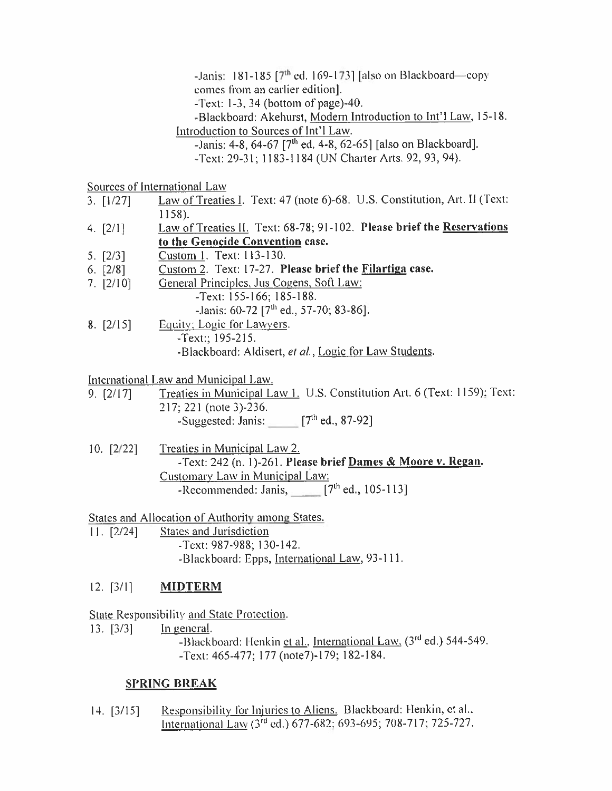-Janis: 181-185  $[7<sup>th</sup>$  ed. 169-173] [also on Blackboard—copy comes from an earlier edition].

-Text: 1-3, 34 (bottom of page)-40.

-Blackboard: Akehurst, Modern Introduction to Int'l Law. 15-18. Introduction to Sources of lnt'1 Law.

 $-$ Janis: 4-8, 64-67  $[7^{th}$  ed. 4-8, 62-65] [also on Blackboard].

-Text: 29-31; 1183-1184 (UN Charter Arts. 92, 93, 94).

Sources of International Law

- Law of Treaties 1. Text: 47 (note 6)-68. U.S. Constitution, Art. 11 (Text: 1158).  $3.$  [ $1/27$ ]
- Law of Treaties 11. Text: 68-78; 91-102. **Please brief the Reservations to the Genocide Convention case. 4. [2/ 1 ]**
- Custom 1. Text: 113-130. 5. [2/3]
- Custom 2. Text: 17-27. **Please brief the Filartiga case. 6. [2/8]**
- General Principles. Jus Cogens. Soft Law: 7. [2/10]
	- -Text: 155-166; 185-188.

-Janis:  $60-72$   $[7<sup>th</sup>$  ed., 57-70; 83-86].

Equity; Logie for Lawyers. -Text:; 195-215. -Blackboard: Aldisert, et al., Logic for Law Students. **8. [2/15]**

International Law and Municipal Law.

- 9. [2/17] Treaties in Municipal Law 1. U.S. Constitution Art. 6 (Text: 1159); Text: 217; 221 (note 3)-236.  $-$ Suggested: Janis: [7<sup>th</sup> ed., 87-92]
- Treaties in Municipal Law 2. -Text: **242** (n. **1 )-261. Please brief Dames & Moore <sup>v</sup>. Regan.** Customary Law in Municipal Law: -Recommended: Janis,  $\qquad \qquad [7<sup>th</sup>$  ed., 105-113] 10**. [**2**/**22**]**

States and Allocation of Authority among States.

11. [2/24] States and Jurisdiction -Text: 987-988; 130-142. -Blackboard: Epps, International Law. 93-111.

## **12. [3/ 1 ] MIDTERM**

State Responsibility and State Protection.

13. [3/3] In general.  $\overline{\phantom{a}}$ -Blackboard: Henkin et al., International Law. (3<sup>rd</sup> ed.) 544-549. -Text: 465-477; 177 (note7)-179; 182-184.

## **SPRING BREAK**

Responsibility for Injuries to Aliens. Blackboard: Henkin, et al.. International Law (3rd ed.) 677-682: 693-695; 708-717; 725-727. 14. [3/15]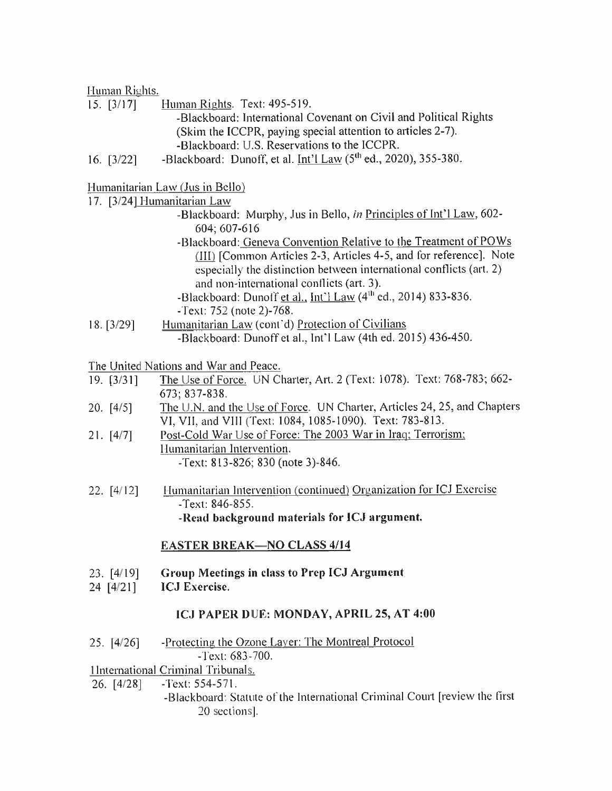#### Human Rights.

15. [3/17] Human Rights. Text: 495-519.

-Blackboard: International Covenant on Civil and Political Rights (Skim the ICCPR, paying special attention to articles <sup>2</sup>-7). -Blackboard: U.S. Reservations to the ICCPR.

16. [3/22] -Blackboard: Dunoff, et al. Int'l Law (5<sup>th</sup> ed., 2020), 355-380.

### Humanitarian Law (Jus in Bello)

#### 17. **r3/241** Humanitarian Law

- -Blackboard: Murphy, Jus in Bello, *in* Principles of lnt'1 Law, 602- 604; 607-616
- -Blackboard: Geneva Convention Relative to the Treatment of POWs (III) [Common Articles 2-3, Articles 4-5, and for reference]. Note especially the distinction between international conflicts (art. <sup>2</sup>) and non-international conflicts (art. 3). -Blackboard: Dunoff et al., Int'l Law (4<sup>th</sup> ed., 2014) 833-836.
- -Text: 752 (note 2)-768.
- Humanitarian Law (cont'd) Protection of Civilians -Blackboard: Dunoff et al., Int'l Law (4th ed. 2015) 436-450. 18. [3/29]

The United Nations and War and Peace.

- The Use of Force. UN Charter, Art. 2 (Text: 1078). Text: 768-783; 662- 673; 837-838. 19. [3/31]
- The U.N. and the Use of Force. UN Charter, Articles 24, 25, and Chapters VI, VII, and VIII (Text: 1084, 1085-1090). Text: 783-813. 20. [4/5]
- Post-Cold War Use of Force: The 2003 War in Iraq: Terrorism; 21. [4/7] Humanitarian Intervention.

-Text: 813-826; 830 (note 3)-846.

22. [4/12] Humanitarian Intervention (continued) Organization for ICJ Exercise -Text: 846-855. **-Read background materials for ICJ argument.**

## **EASTER BREAK—NO CLASS 4/14**

- 23. [4/19] **Group Meetings in class to Prep ICJ Argument**
- 24 [4/21] **ICJ Exercise.**

#### **ICJ PAPER DUE: MONDAY, APRIL 25, AT 4:00**

25. [4/26] -Protecting the Ozone Layer: The Montreal Protocol - Text: 683-700.

## 1 International Criminal Tribunals.

- -Text: 554-571. 26. [4/28]
	- -Blackboard: Statute of the International Criminal Court [review the first 20 sections].